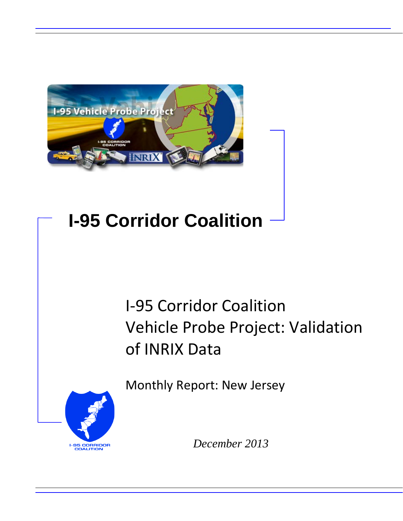

# **I-95 Corridor Coalition**

# I-95 Corridor Coalition Vehicle Probe Project: Validation of INRIX Data

Monthly Report: New Jersey



*December 2013*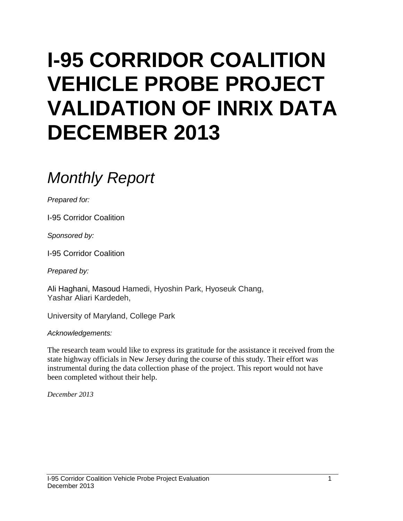# **I-95 CORRIDOR COALITION VEHICLE PROBE PROJECT VALIDATION OF INRIX DATA DECEMBER 2013**

# *Monthly Report*

*Prepared for:*

I-95 Corridor Coalition

*Sponsored by:*

I-95 Corridor Coalition

*Prepared by:*

Ali Haghani, Masoud Hamedi, Hyoshin Park, Hyoseuk Chang, Yashar Aliari Kardedeh,

University of Maryland, College Park

*Acknowledgements:*

The research team would like to express its gratitude for the assistance it received from the state highway officials in New Jersey during the course of this study. Their effort was instrumental during the data collection phase of the project. This report would not have been completed without their help.

*December 2013*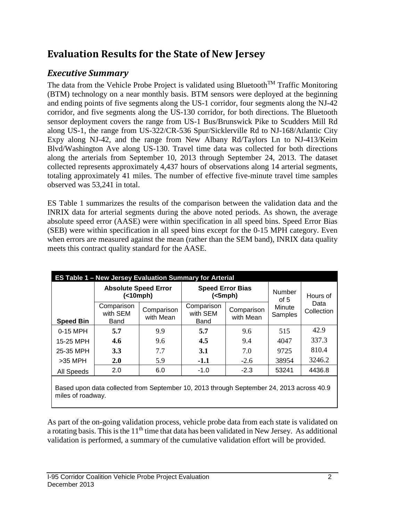# **Evaluation Results for the State of New Jersey**

# *Executive Summary*

The data from the Vehicle Probe Project is validated using Bluetooth<sup>TM</sup> Traffic Monitoring (BTM) technology on a near monthly basis. BTM sensors were deployed at the beginning and ending points of five segments along the US-1 corridor, four segments along the NJ-42 corridor, and five segments along the US-130 corridor, for both directions. The Bluetooth sensor deployment covers the range from US-1 Bus/Brunswick Pike to Scudders Mill Rd along US-1, the range from US-322/CR-536 Spur/Sicklerville Rd to NJ-168/Atlantic City Expy along NJ-42, and the range from New Albany Rd/Taylors Ln to NJ-413/Keim Blvd/Washington Ave along US-130. Travel time data was collected for both directions along the arterials from September 10, 2013 through September 24, 2013. The dataset collected represents approximately 4,437 hours of observations along 14 arterial segments, totaling approximately 41 miles. The number of effective five-minute travel time samples observed was 53,241 in total.

ES Table 1 summarizes the results of the comparison between the validation data and the INRIX data for arterial segments during the above noted periods. As shown, the average absolute speed error (AASE) were within specification in all speed bins. Speed Error Bias (SEB) were within specification in all speed bins except for the 0-15 MPH category. Even when errors are measured against the mean (rather than the SEM band), INRIX data quality meets this contract quality standard for the AASE.

| ES Table 1 - New Jersey Evaluation Summary for Arterial |                                  |                         |                                                           |        |                   |                    |  |  |  |  |
|---------------------------------------------------------|----------------------------------|-------------------------|-----------------------------------------------------------|--------|-------------------|--------------------|--|--|--|--|
|                                                         | <b>Absolute Speed Error</b><br>( |                         | <b>Speed Error Bias</b><br>(<5 mph)                       |        | Number<br>of $5$  | Hours of           |  |  |  |  |
| <b>Speed Bin</b>                                        | Comparison<br>with SEM<br>Band   | Comparison<br>with Mean | Comparison<br>Comparison<br>with SEM<br>with Mean<br>Band |        | Minute<br>Samples | Data<br>Collection |  |  |  |  |
| 0-15 MPH                                                | 5.7                              | 9.9                     | 5.7                                                       | 9.6    | 515               | 42.9               |  |  |  |  |
| 15-25 MPH                                               | 4.6                              | 9.6                     | 4.5                                                       | 9.4    | 4047              | 337.3              |  |  |  |  |
| 25-35 MPH                                               | <b>3.3</b>                       | 7.7                     | <b>3.1</b>                                                | 7.0    | 9725              | 810.4              |  |  |  |  |
| $>35$ MPH                                               | <b>2.0</b>                       | 5.9                     | $-1.1$                                                    | $-2.6$ | 38954             | 3246.2             |  |  |  |  |
| All Speeds                                              | 2.0<br>6.0                       |                         | $-1.0$<br>$-2.3$                                          |        | 53241             | 4436.8             |  |  |  |  |
|                                                         |                                  |                         |                                                           |        |                   |                    |  |  |  |  |

Based upon data collected from September 10, 2013 through September 24, 2013 across 40.9 miles of roadway.

As part of the on-going validation process, vehicle probe data from each state is validated on a rotating basis. This is the  $11<sup>th</sup>$  time that data has been validated in New Jersey. As additional validation is performed, a summary of the cumulative validation effort will be provided.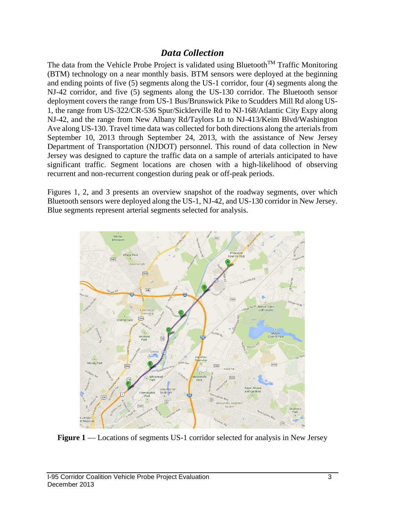## *Data Collection*

The data from the Vehicle Probe Project is validated using Bluetooth<sup>TM</sup> Traffic Monitoring (BTM) technology on a near monthly basis. BTM sensors were deployed at the beginning and ending points of five (5) segments along the US-1 corridor, four (4) segments along the NJ-42 corridor, and five (5) segments along the US-130 corridor. The Bluetooth sensor deployment covers the range from US-1 Bus/Brunswick Pike to Scudders Mill Rd along US-1, the range from US-322/CR-536 Spur/Sicklerville Rd to NJ-168/Atlantic City Expy along NJ-42, and the range from New Albany Rd/Taylors Ln to NJ-413/Keim Blvd/Washington Ave along US-130. Travel time data was collected for both directions along the arterials from September 10, 2013 through September 24, 2013, with the assistance of New Jersey Department of Transportation (NJDOT) personnel. This round of data collection in New Jersey was designed to capture the traffic data on a sample of arterials anticipated to have significant traffic. Segment locations are chosen with a high-likelihood of observing recurrent and non-recurrent congestion during peak or off-peak periods.

Figures 1, 2, and 3 presents an overview snapshot of the roadway segments, over which Bluetooth sensors were deployed along the US-1, NJ-42, and US-130 corridor in New Jersey. Blue segments represent arterial segments selected for analysis.



Figure 1—Locations of segments US-1 corridor selected for analysis in New Jersey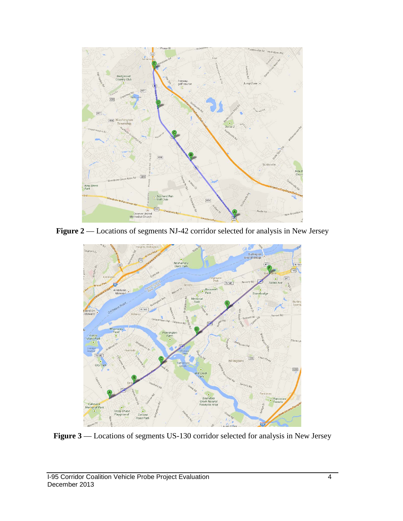

Figure 2 –– Locations of segments NJ-42 corridor selected for analysis in New Jersey



Figure 3 –– Locations of segments US-130 corridor selected for analysis in New Jersey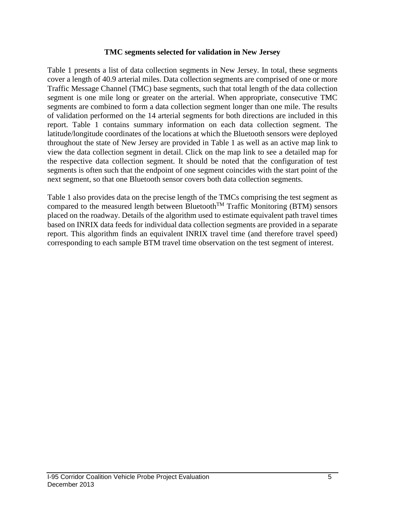#### **TMC segments selected for validation in New Jersey**

Table 1 presents a list of data collection segments in New Jersey. In total, these segments cover a length of 40.9 arterial miles. Data collection segments are comprised of one or more Traffic Message Channel (TMC) base segments, such that total length of the data collection segment is one mile long or greater on the arterial. When appropriate, consecutive TMC segments are combined to form a data collection segment longer than one mile. The results of validation performed on the 14 arterial segments for both directions are included in this report. Table 1 contains summary information on each data collection segment. The latitude/longitude coordinates of the locations at which the Bluetooth sensors were deployed throughout the state of New Jersey are provided in Table 1 as well as an active map link to view the data collection segment in detail. Click on the map link to see a detailed map for the respective data collection segment. It should be noted that the configuration of test segments is often such that the endpoint of one segment coincides with the start point of the next segment, so that one Bluetooth sensor covers both data collection segments.

Table 1 also provides data on the precise length of the TMCs comprising the test segment as compared to the measured length between Bluetooth<sup>TM</sup> Traffic Monitoring (BTM) sensors placed on the roadway. Details of the algorithm used to estimate equivalent path travel times based on INRIX data feeds for individual data collection segments are provided in a separate report. This algorithm finds an equivalent INRIX travel time (and therefore travel speed) corresponding to each sample BTM travel time observation on the test segment of interest.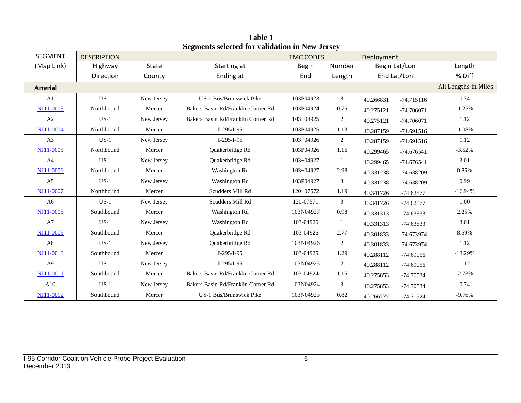| <b>SEGMENT</b>  | <b>DESCRIPTION</b> |              |                                    | <b>TMC CODES</b> |                | Deployment |               |                      |
|-----------------|--------------------|--------------|------------------------------------|------------------|----------------|------------|---------------|----------------------|
| (Map Link)      | Highway            | <b>State</b> | Starting at                        | <b>Begin</b>     | Number         |            | Begin Lat/Lon | Length               |
|                 | Direction          | County       | Ending at                          | End              | Length         |            | End Lat/Lon   | % Diff               |
| <b>Arterial</b> |                    |              |                                    |                  |                |            |               | All Lengths in Miles |
| A1              | $US-1$             | New Jersey   | US-1 Bus/Brunswick Pike            | 103P04923        | 3              | 40.266831  | $-74.715116$  | 0.74                 |
| NJ11-0003       | Northbound         | Mercer       | Bakers Basin Rd/Franklin Corner Rd | 103P04924        | 0.75           | 40.275121  | $-74.706071$  | $-1.25%$             |
| A2              | $US-1$             | New Jersey   | Bakers Basin Rd/Franklin Corner Rd | $103 + 04925$    | $\overline{2}$ | 40.275121  | $-74.706071$  | 1.12                 |
| NJ11-0004       | Northbound         | Mercer       | $I-295/I-95$                       | 103P04925        | 1.13           | 40.287159  | $-74.691516$  | $-1.08%$             |
| A <sub>3</sub>  | $US-1$             | New Jersey   | $I-295/I-95$                       | $103 + 04926$    | $\overline{2}$ | 40.287159  | $-74.691516$  | 1.12                 |
| NJ11-0005       | Northbound         | Mercer       | Quakerbridge Rd                    | 103P04926        | 1.16           | 40.299465  | $-74.676541$  | $-3.52%$             |
| A <sub>4</sub>  | $US-1$             | New Jersey   | Quakerbridge Rd                    | 103+04927        | $\mathbf{1}$   | 40.299465  | $-74.676541$  | 3.01                 |
| NJ11-0006       | Northbound         | Mercer       | Washington Rd                      | $103 + 04927$    | 2.98           | 40.331238  | -74.638209    | 0.85%                |
| A <sub>5</sub>  | $US-1$             | New Jersey   | Washington Rd                      | 103P04927        | 3              | 40.331238  | -74.638209    | 0.99                 |
| NJ11-0007       | Northbound         | Mercer       | Scudders Mill Rd                   | 120+07572        | 1.19           | 40.341726  | $-74.62577$   | $-16.94%$            |
| A <sub>6</sub>  | $US-1$             | New Jersey   | Scudders Mill Rd                   | 120-07571        | 3              | 40.341726  | $-74.62577$   | 1.00                 |
| NJ11-0008       | Southbound         | Mercer       | Washington Rd                      | 103N04927        | 0.98           | 40.331313  | $-74.63833$   | 2.25%                |
| A7              | $US-1$             | New Jersey   | Washington Rd                      | 103-04926        | 1              | 40.331313  | -74.63833     | 3.01                 |
| NJ11-0009       | Southbound         | Mercer       | Quakerbridge Rd                    | 103-04926        | 2.77           | 40.301833  | -74.673974    | 8.59%                |
| A8              | $US-1$             | New Jersey   | Quakerbridge Rd                    | 103N04926        | $\overline{2}$ | 40.301833  | -74.673974    | 1.12                 |
| NJ11-0010       | Southbound         | Mercer       | $I-295/I-95$                       | 103-04925        | 1.29           | 40.288112  | $-74.69056$   | $-13.29%$            |
| A <sup>9</sup>  | $US-1$             | New Jersey   | $I-295/I-95$                       | 103N04925        | $\overline{2}$ | 40.288112  | $-74.69056$   | 1.12                 |
| NJ11-0011       | Southbound         | Mercer       | Bakers Basin Rd/Franklin Corner Rd | 103-04924        | 1.15           | 40.275853  | $-74.70534$   | $-2.73%$             |
| A10             | $US-1$             | New Jersey   | Bakers Basin Rd/Franklin Corner Rd | 103N04924        | 3              | 40.275853  | -74.70534     | 0.74                 |
| NJ11-0012       | Southbound         | Mercer       | <b>US-1 Bus/Brunswick Pike</b>     | 103N04923        | 0.82           | 40.266777  | $-74.71524$   | $-9.76%$             |

**Table 1 Segments selected for validation in New Jersey**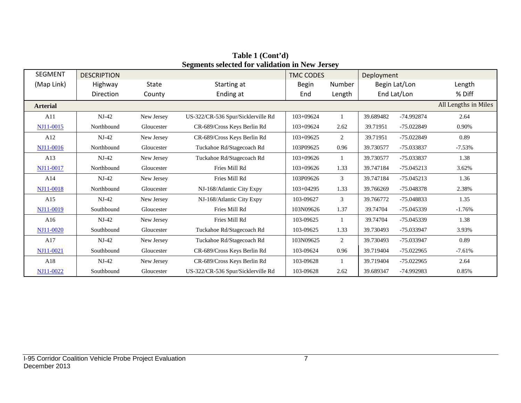| <b>SEGMENT</b>   | <b>DESCRIPTION</b> |            |                                    | <b>TMC CODES</b> |                | Deployment |               |                      |
|------------------|--------------------|------------|------------------------------------|------------------|----------------|------------|---------------|----------------------|
| (Map Link)       | Highway            | State      | Starting at                        | <b>Begin</b>     | Number         |            | Begin Lat/Lon | Length               |
|                  | Direction          | County     | Ending at                          | End              | Length         |            | End Lat/Lon   | % Diff               |
| <b>Arterial</b>  |                    |            |                                    |                  |                |            |               | All Lengths in Miles |
| A11              | $NJ-42$            | New Jersey | US-322/CR-536 Spur/Sicklerville Rd | 103+09624        |                | 39.689482  | -74.992874    | 2.64                 |
| NJ11-0015        | Northbound         | Gloucester | CR-689/Cross Keys Berlin Rd        | 103+09624        | 2.62           | 39.71951   | -75.022849    | 0.90%                |
| A12              | $NJ-42$            | New Jersey | CR-689/Cross Keys Berlin Rd        | 103+09625        | 2              | 39.71951   | $-75.022849$  | 0.89                 |
| NJ11-0016        | Northbound         | Gloucester | Tuckahoe Rd/Stagecoach Rd          | 103P09625        | 0.96           | 39.730577  | -75.033837    | $-7.53%$             |
| A13              | $NJ-42$            | New Jersey | Tuckahoe Rd/Stagecoach Rd          | $103+09626$      | $\mathbf{1}$   | 39.730577  | -75.033837    | 1.38                 |
| <b>NJ11-0017</b> | Northbound         | Gloucester | Fries Mill Rd                      | $103+09626$      | 1.33           | 39.747184  | $-75.045213$  | 3.62%                |
| A14              | $NJ-42$            | New Jersey | Fries Mill Rd                      | 103P09626        | 3              | 39.747184  | $-75.045213$  | 1.36                 |
| NJ11-0018        | Northbound         | Gloucester | NJ-168/Atlantic City Expy          | $103 + 04295$    | 1.33           | 39.766269  | -75.048378    | 2.38%                |
| A15              | $NJ-42$            | New Jersey | NJ-168/Atlantic City Expy          | 103-09627        | 3              | 39.766772  | $-75.048833$  | 1.35                 |
| NJ11-0019        | Southbound         | Gloucester | Fries Mill Rd                      | 103N09626        | 1.37           | 39.74704   | -75.045339    | $-1.76%$             |
| A16              | $NJ-42$            | New Jersey | Fries Mill Rd                      | 103-09625        | $\mathbf{1}$   | 39.74704   | $-75.045339$  | 1.38                 |
| NJ11-0020        | Southbound         | Gloucester | Tuckahoe Rd/Stagecoach Rd          | 103-09625        | 1.33           | 39.730493  | -75.033947    | 3.93%                |
| A17              | $NJ-42$            | New Jersey | Tuckahoe Rd/Stagecoach Rd          | 103N09625        | $\overline{2}$ | 39.730493  | -75.033947    | 0.89                 |
| NJ11-0021        | Southbound         | Gloucester | CR-689/Cross Keys Berlin Rd        | 103-09624        | 0.96           | 39.719404  | $-75.022965$  | $-7.61%$             |
| A18              | $NJ-42$            | New Jersey | CR-689/Cross Keys Berlin Rd        | 103-09628        |                | 39.719404  | $-75.022965$  | 2.64                 |
| NJ11-0022        | Southbound         | Gloucester | US-322/CR-536 Spur/Sicklerville Rd | 103-09628        | 2.62           | 39.689347  | -74.992983    | 0.85%                |

**Table 1 (Cont'd) Segments selected for validation in New Jersey**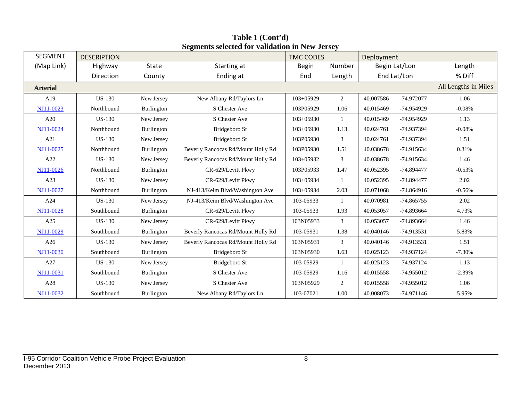| <b>SEGMENT</b>  | <b>DESCRIPTION</b> |              | $\mathbf{S}$ and $\mathbf{S}$ are $\mathbf{S}$ and $\mathbf{S}$ are $\mathbf{S}$ and $\mathbf{S}$ are $\mathbf{S}$ and $\mathbf{S}$ are $\mathbf{S}$ | <b>TMC CODES</b> |                | Deployment |               |                      |
|-----------------|--------------------|--------------|------------------------------------------------------------------------------------------------------------------------------------------------------|------------------|----------------|------------|---------------|----------------------|
| (Map Link)      | Highway            | <b>State</b> | Starting at                                                                                                                                          | <b>Begin</b>     | Number         |            | Begin Lat/Lon | Length               |
|                 | Direction          | County       | Ending at                                                                                                                                            | End              | Length         |            | End Lat/Lon   | % Diff               |
| <b>Arterial</b> |                    |              |                                                                                                                                                      |                  |                |            |               | All Lengths in Miles |
| A19             | <b>US-130</b>      | New Jersey   | New Albany Rd/Taylors Ln                                                                                                                             | $103+05929$      | 2              | 40.007586  | -74.972077    | 1.06                 |
| NJ11-0023       | Northbound         | Burlington   | S Chester Ave                                                                                                                                        | 103P05929        | 1.06           | 40.015469  | -74.954929    | $-0.08%$             |
| A20             | <b>US-130</b>      | New Jersey   | S Chester Ave                                                                                                                                        | $103 + 05930$    | 1              | 40.015469  | -74.954929    | 1.13                 |
| NJ11-0024       | Northbound         | Burlington   | Bridgeboro St                                                                                                                                        | $103+05930$      | 1.13           | 40.024761  | -74.937394    | $-0.08%$             |
| A21             | <b>US-130</b>      | New Jersey   | Bridgeboro St                                                                                                                                        | 103P05930        | 3              | 40.024761  | -74.937394    | 1.51                 |
| NJ11-0025       | Northbound         | Burlington   | Beverly Rancocas Rd/Mount Holly Rd                                                                                                                   | 103P05930        | 1.51           | 40.038678  | -74.915634    | 0.31%                |
| A22             | <b>US-130</b>      | New Jersey   | Beverly Rancocas Rd/Mount Holly Rd                                                                                                                   | 103+05932        | 3              | 40.038678  | -74.915634    | 1.46                 |
| NJ11-0026       | Northbound         | Burlington   | CR-629/Levitt Pkwy                                                                                                                                   | 103P05933        | 1.47           | 40.052395  | -74.894477    | $-0.53%$             |
| A23             | <b>US-130</b>      | New Jersey   | CR-629/Levitt Pkwy                                                                                                                                   | 103+05934        | $\mathbf{1}$   | 40.052395  | -74.894477    | 2.02                 |
| NJ11-0027       | Northbound         | Burlington   | NJ-413/Keim Blvd/Washington Ave                                                                                                                      | $103 + 05934$    | 2.03           | 40.071068  | $-74.864916$  | $-0.56%$             |
| A24             | <b>US-130</b>      | New Jersey   | NJ-413/Keim Blvd/Washington Ave                                                                                                                      | 103-05933        | 1              | 40.070981  | -74.865755    | 2.02                 |
| NJ11-0028       | Southbound         | Burlington   | CR-629/Levitt Pkwy                                                                                                                                   | 103-05933        | 1.93           | 40.053057  | -74.893664    | 4.73%                |
| A25             | <b>US-130</b>      | New Jersey   | CR-629/Levitt Pkwy                                                                                                                                   | 103N05933        | $\mathfrak{Z}$ | 40.053057  | -74.893664    | 1.46                 |
| NJ11-0029       | Southbound         | Burlington   | Beverly Rancocas Rd/Mount Holly Rd                                                                                                                   | 103-05931        | 1.38           | 40.040146  | -74.913531    | 5.83%                |
| A26             | <b>US-130</b>      | New Jersey   | Beverly Rancocas Rd/Mount Holly Rd                                                                                                                   | 103N05931        | 3              | 40.040146  | -74.913531    | 1.51                 |
| NJ11-0030       | Southbound         | Burlington   | Bridgeboro St                                                                                                                                        | 103N05930        | 1.63           | 40.025123  | -74.937124    | $-7.30%$             |
| A27             | <b>US-130</b>      | New Jersey   | Bridgeboro St                                                                                                                                        | 103-05929        | $\mathbf{1}$   | 40.025123  | -74.937124    | 1.13                 |
| NJ11-0031       | Southbound         | Burlington   | S Chester Ave                                                                                                                                        | 103-05929        | 1.16           | 40.015558  | -74.955012    | $-2.39%$             |
| A28             | <b>US-130</b>      | New Jersey   | S Chester Ave                                                                                                                                        | 103N05929        | $\overline{2}$ | 40.015558  | -74.955012    | 1.06                 |
| NJ11-0032       | Southbound         | Burlington   | New Albany Rd/Taylors Ln                                                                                                                             | 103-07021        | 1.00           | 40.008073  | -74.971146    | 5.95%                |

**Table 1 (Cont'd) Segments selected for validation in New Jersey**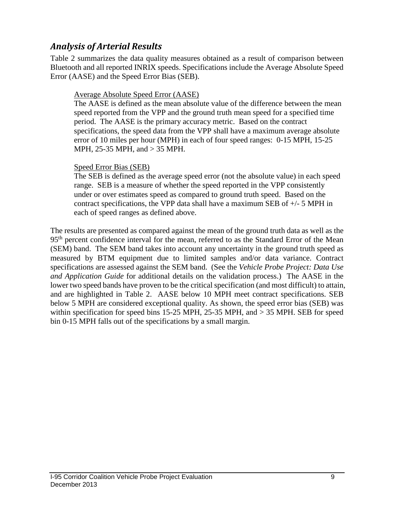# *Analysis of Arterial Results*

Table 2 summarizes the data quality measures obtained as a result of comparison between Bluetooth and all reported INRIX speeds. Specifications include the Average Absolute Speed Error (AASE) and the Speed Error Bias (SEB).

#### Average Absolute Speed Error (AASE)

The AASE is defined as the mean absolute value of the difference between the mean speed reported from the VPP and the ground truth mean speed for a specified time period. The AASE is the primary accuracy metric. Based on the contract specifications, the speed data from the VPP shall have a maximum average absolute error of 10 miles per hour (MPH) in each of four speed ranges: 0-15 MPH, 15-25 MPH, 25-35 MPH, and > 35 MPH.

#### Speed Error Bias (SEB)

The SEB is defined as the average speed error (not the absolute value) in each speed range. SEB is a measure of whether the speed reported in the VPP consistently under or over estimates speed as compared to ground truth speed. Based on the contract specifications, the VPP data shall have a maximum SEB of  $+/-$  5 MPH in each of speed ranges as defined above.

The results are presented as compared against the mean of the ground truth data as well as the 95<sup>th</sup> percent confidence interval for the mean, referred to as the Standard Error of the Mean (SEM) band. The SEM band takes into account any uncertainty in the ground truth speed as measured by BTM equipment due to limited samples and/or data variance. Contract specifications are assessed against the SEM band. (See the *Vehicle Probe Project: Data Use and Application Guide* for additional details on the validation process.) The AASE in the lower two speed bands have proven to be the critical specification (and most difficult) to attain, and are highlighted in Table 2. AASE below 10 MPH meet contract specifications. SEB below 5 MPH are considered exceptional quality. As shown, the speed error bias (SEB) was within specification for speed bins 15-25 MPH, 25-35 MPH, and > 35 MPH. SEB for speed bin 0-15 MPH falls out of the specifications by a small margin.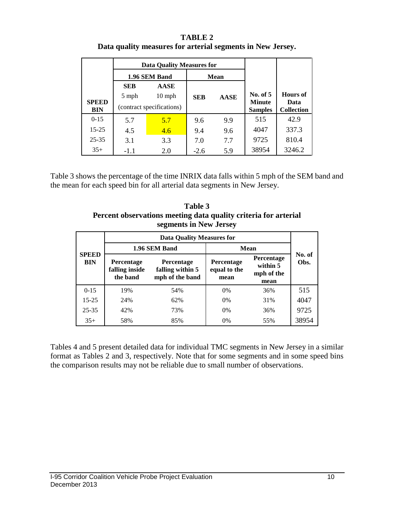| <b>TABLE 2</b>                                             |
|------------------------------------------------------------|
| Data quality measures for arterial segments in New Jersey. |

|              |                           | <b>Data Quality Measures for</b> |            |             |                                 |                   |
|--------------|---------------------------|----------------------------------|------------|-------------|---------------------------------|-------------------|
|              |                           | 1.96 SEM Band                    |            | Mean        |                                 |                   |
|              | <b>SEB</b>                | <b>AASE</b>                      |            |             |                                 |                   |
| <b>SPEED</b> | 5 mph                     | $10$ mph                         | <b>SEB</b> | <b>AASE</b> | No. of 5                        | Hours of<br>Data  |
| <b>BIN</b>   | (contract specifications) |                                  |            |             | <b>Minute</b><br><b>Samples</b> | <b>Collection</b> |
| $0 - 15$     | 5.7                       | 5.7                              | 9.6        | 9.9         | 515                             | 42.9              |
| $15 - 25$    | 4.5                       | 4.6                              | 9.4        | 9.6         | 4047                            | 337.3             |
| $25 - 35$    | 3.1                       | 3.3                              | 7.0        | 7.7         | 9725                            | 810.4             |
| $35+$        | $-1.1$                    | 2.0                              | $-2.6$     | 5.9         | 38954                           | 3246.2            |

Table 3 shows the percentage of the time INRIX data falls within 5 mph of the SEM band and the mean for each speed bin for all arterial data segments in New Jersey.

**Table 3 Percent observations meeting data quality criteria for arterial segments in New Jersey**

|                            |                                                 | <b>Data Quality Measures for</b>                         |                                           |                                              |                |  |
|----------------------------|-------------------------------------------------|----------------------------------------------------------|-------------------------------------------|----------------------------------------------|----------------|--|
|                            |                                                 | 1.96 SEM Band                                            | Mean                                      |                                              |                |  |
| <b>SPEED</b><br><b>BIN</b> | <b>Percentage</b><br>falling inside<br>the band | <b>Percentage</b><br>falling within 5<br>mph of the band | <b>Percentage</b><br>equal to the<br>mean | Percentage<br>within 5<br>mph of the<br>mean | No. of<br>Obs. |  |
| $0-15$                     | 19%                                             | 54%                                                      | $0\%$                                     | 36%                                          | 515            |  |
| $15 - 25$                  | 24%                                             | 62%                                                      | 0%                                        | 31%                                          | 4047           |  |
| $25 - 35$                  | 42%                                             | 73%                                                      | 0%                                        | 36%                                          | 9725           |  |
| $35+$                      | 58%                                             | 85%                                                      | 0%                                        | 55%                                          | 38954          |  |

Tables 4 and 5 present detailed data for individual TMC segments in New Jersey in a similar format as Tables 2 and 3, respectively. Note that for some segments and in some speed bins the comparison results may not be reliable due to small number of observations.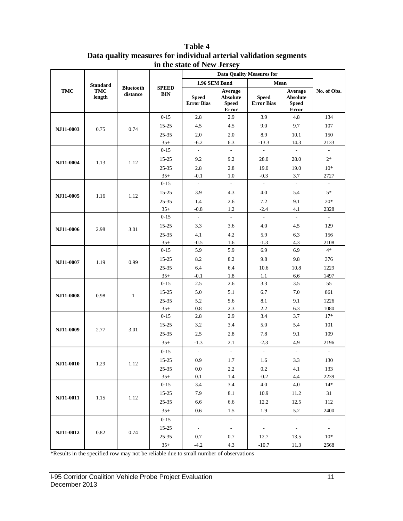|            | <b>Standard</b>      |                              |                            | 1.96 SEM Band                     |                                              | Mean                              |                                                     |                          |
|------------|----------------------|------------------------------|----------------------------|-----------------------------------|----------------------------------------------|-----------------------------------|-----------------------------------------------------|--------------------------|
| <b>TMC</b> | <b>TMC</b><br>length | <b>Bluetooth</b><br>distance | <b>SPEED</b><br><b>BIN</b> | <b>Speed</b><br><b>Error Bias</b> | Average<br>Absolute<br><b>Speed</b><br>Error | <b>Speed</b><br><b>Error Bias</b> | Average<br><b>Absolute</b><br><b>Speed</b><br>Error | No. of Obs.              |
|            |                      |                              | $0 - 15$                   | 2.8                               | 2.9                                          | 3.9                               | 4.8                                                 | 134                      |
| NJ11-0003  | 0.75                 | 0.74                         | 15-25                      | 4.5                               | 4.5                                          | 9.0                               | 9.7                                                 | 107                      |
|            |                      |                              | $25 - 35$                  | 2.0                               | $2.0\,$                                      | 8.9                               | 10.1                                                | 150                      |
|            |                      |                              | $35+$                      | $-6.2$                            | 6.3                                          | $-13.3$                           | 14.3                                                | 2133                     |
|            |                      |                              | $0 - 15$                   | $\bar{\phantom{a}}$               | $\sim$                                       | $\sim$                            | $\overline{\phantom{a}}$                            | $\overline{\phantom{a}}$ |
| NJ11-0004  | 1.13                 | 1.12                         | 15-25                      | 9.2                               | 9.2                                          | 28.0                              | 28.0                                                | $2*$                     |
|            |                      |                              | 25-35                      | 2.8                               | 2.8                                          | 19.0                              | 19.0                                                | $10*$                    |
|            |                      |                              | $35+$                      | $-0.1$                            | 1.0                                          | $-0.3$                            | 3.7                                                 | 2727                     |
|            |                      |                              | $0 - 15$                   | $\overline{a}$                    | L.                                           | $\overline{\phantom{a}}$          | $\overline{a}$                                      | $\frac{1}{2}$            |
| NJ11-0005  | 1.16                 | 1.12                         | $15 - 25$                  | 3.9                               | 4.3                                          | 4.0                               | 5.4                                                 | $5*$                     |
|            |                      |                              | 25-35                      | 1.4                               | 2.6                                          | 7.2                               | 9.1                                                 | $20*$                    |
|            |                      |                              | $35+$                      | $-0.8$                            | 1.2                                          | $-2.4$                            | 4.1                                                 | 2328                     |
|            |                      |                              | $0 - 15$                   | L.                                | $\mathcal{L}$                                | $\overline{a}$                    | $\overline{\phantom{a}}$                            | $\mathcal{L}$            |
| NJ11-0006  | 2.98                 | 3.01                         | 15-25                      | 3.3                               | 3.6                                          | 4.0                               | 4.5                                                 | 129                      |
|            |                      |                              | $25 - 35$                  | 4.1                               | 4.2                                          | 5.9                               | 6.3                                                 | 156                      |
|            |                      |                              | $35+$                      | $-0.5$                            | 1.6                                          | $-1.3$                            | 4.3                                                 | 2108                     |
| NJ11-0007  |                      |                              | $0 - 15$                   | 5.9                               | 5.9                                          | 6.9                               | 6.9                                                 | $4*$                     |
|            | 1.19                 | 0.99                         | $15 - 25$                  | 8.2                               | 8.2                                          | 9.8                               | 9.8                                                 | 376                      |
|            |                      |                              | $25 - 35$                  | 6.4                               | 6.4                                          | 10.6                              | 10.8                                                | 1229                     |
|            |                      |                              | $35+$                      | $-0.1$                            | $1.8\,$                                      | 1.1                               | 6.6                                                 | 1497                     |
|            |                      |                              | $0 - 15$                   | 2.5                               | 2.6                                          | 3.3                               | 3.5                                                 | 55                       |
| NJ11-0008  | 0.98                 | $\mathbf{1}$                 | 15-25                      | 5.0                               | 5.1                                          | 6.7                               | 7.0                                                 | 861                      |
|            |                      |                              | $25 - 35$                  | 5.2                               | 5.6                                          | 8.1                               | 9.1                                                 | 1226                     |
|            |                      |                              | $35+$                      | $0.8\,$                           | 2.3                                          | 2.2                               | 6.3                                                 | 1080                     |
|            |                      |                              | $0 - 15$                   | 2.8                               | 2.9                                          | 3.4                               | 3.7                                                 | $17*$                    |
| NJ11-0009  | 2.77                 | 3.01                         | $15 - 25$                  | 3.2                               | 3.4                                          | 5.0                               | 5.4                                                 | 101                      |
|            |                      |                              | 25-35                      | 2.5                               | 2.8                                          | 7.8                               | 9.1                                                 | 109                      |
|            |                      |                              | $35+$                      | $-1.3$                            | 2.1                                          | $-2.3$                            | 4.9                                                 | 2196                     |
|            |                      |                              | $0 - 15$                   | $\overline{\phantom{a}}$          | $\overline{\phantom{a}}$                     | $\overline{\phantom{a}}$          | $\overline{\phantom{a}}$                            | $\overline{\phantom{a}}$ |
| NJ11-0010  | 1.29                 | 1.12                         | $15 - 25$                  | 0.9                               | 1.7                                          | 1.6                               | 3.3                                                 | 130                      |
|            |                      |                              | $25 - 35$                  | $0.0\,$                           | $2.2\,$                                      | 0.2                               | 4.1                                                 | 133                      |
|            |                      |                              | $35+$                      | 0.1                               | 1.4                                          | $-0.2$                            | 4.4                                                 | 2239                     |
|            |                      |                              | $0 - 15$                   | 3.4                               | 3.4                                          | 4.0                               | 4.0                                                 | $14*$                    |
|            |                      |                              | $15 - 25$                  | 7.9                               | 8.1                                          | 10.9                              | 11.2                                                | 31                       |
| NJ11-0011  | 1.15                 | 1.12                         | $25 - 35$                  | 6.6                               | 6.6                                          | 12.2                              | 12.5                                                | 112                      |
|            |                      |                              | $35+$                      | 0.6                               | 1.5                                          | 1.9                               | 5.2                                                 | 2400                     |
|            |                      |                              | $0 - 15$                   | $\overline{\phantom{a}}$          | $\mathcal{L}_{\mathcal{A}}$                  | $\overline{\phantom{a}}$          | $\blacksquare$                                      | $\bar{\gamma}$           |
|            |                      |                              | $15 - 25$                  | $\blacksquare$                    | $\sim$                                       | $\overline{\phantom{a}}$          | $\mathcal{L}_{\mathcal{A}}$                         | $\sim$                   |
| NJ11-0012  | 0.82                 | 0.74                         | $25 - 35$                  | 0.7                               | 0.7                                          | 12.7                              | 13.5                                                | $10*$                    |
|            |                      |                              | $35+$                      | $-4.2$                            | 4.3                                          | $-10.7$                           | 11.3                                                | 2568                     |

**Table 4 Data quality measures for individual arterial validation segments in the state of New Jersey**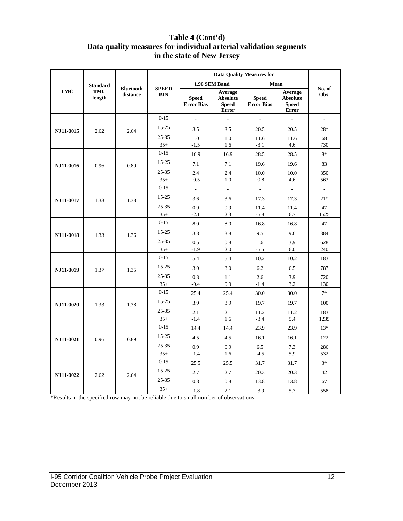### **Table 4 (Cont'd) Data quality measures for individual arterial validation segments in the state of New Jersey**

|            | <b>Standard</b>      |                              |                            | 1.96 SEM Band                     |                                                            | Mean                              |                                                            |                          |
|------------|----------------------|------------------------------|----------------------------|-----------------------------------|------------------------------------------------------------|-----------------------------------|------------------------------------------------------------|--------------------------|
| <b>TMC</b> | <b>TMC</b><br>length | <b>Bluetooth</b><br>distance | <b>SPEED</b><br><b>BIN</b> | <b>Speed</b><br><b>Error Bias</b> | Average<br><b>Absolute</b><br><b>Speed</b><br><b>Error</b> | <b>Speed</b><br><b>Error Bias</b> | Average<br><b>Absolute</b><br><b>Speed</b><br><b>Error</b> | No. of<br>Obs.           |
|            |                      |                              | $0 - 15$                   | $\overline{\phantom{a}}$          |                                                            | $\frac{1}{2}$                     |                                                            | $\overline{\phantom{a}}$ |
| NJ11-0015  | 2.62                 | 2.64                         | $15 - 25$                  | 3.5                               | 3.5                                                        | 20.5                              | 20.5                                                       | 28*                      |
|            |                      |                              | $25 - 35$                  | 1.0                               | 1.0                                                        | 11.6                              | 11.6                                                       | 68                       |
|            |                      |                              | $35+$                      | $-1.5$                            | 1.6                                                        | $-3.1$                            | 4.6                                                        | 730                      |
|            |                      |                              | $0 - 15$                   | 16.9                              | 16.9                                                       | 28.5                              | 28.5                                                       | $8*$                     |
| NJ11-0016  | 0.96                 | 0.89                         | $15 - 25$                  | 7.1                               | 7.1                                                        | 19.6                              | 19.6                                                       | 83                       |
|            |                      |                              | $25 - 35$                  | 2.4                               | 2.4                                                        | 10.0                              | 10.0                                                       | 350                      |
|            |                      |                              | $35+$                      | $-0.5$                            | 1.0                                                        | $-0.8$                            | 4.6                                                        | 563                      |
|            |                      |                              | $0 - 15$                   | $\overline{\phantom{a}}$          | $\mathcal{L}$                                              | $\overline{\phantom{a}}$          | $\frac{1}{2}$                                              | $\mathbb{L}$             |
| NJ11-0017  | 1.33                 | 1.38                         | $15 - 25$                  | 3.6                               | 3.6                                                        | 17.3                              | 17.3                                                       | $21*$                    |
|            |                      |                              | $25 - 35$                  | 0.9                               | 0.9                                                        | 11.4                              | 11.4                                                       | 47                       |
|            |                      |                              | $35+$                      | $-2.1$                            | 2.3                                                        | $-5.8$                            | 6.7                                                        | 1525                     |
| NJ11-0018  |                      |                              | $0 - 15$                   | 8.0                               | 8.0                                                        | 16.8                              | 16.8                                                       | 47                       |
|            | 1.33                 | 1.36                         | $15 - 25$                  | 3.8                               | 3.8                                                        | 9.5                               | 9.6                                                        | 384                      |
|            |                      |                              | 25-35                      | 0.5                               | 0.8                                                        | 1.6                               | 3.9                                                        | 628                      |
|            |                      |                              | $35+$                      | $-1.9$                            | 2.0                                                        | $-5.5$                            | 6.0                                                        | 240                      |
|            |                      | 1.35                         | $0 - 15$                   | 5.4                               | 5.4                                                        | 10.2                              | 10.2                                                       | 183                      |
| NJ11-0019  | 1.37                 |                              | $15 - 25$                  | 3.0                               | 3.0                                                        | 6.2                               | 6.5                                                        | 787                      |
|            |                      |                              | 25-35                      | 0.8                               | 1.1                                                        | 2.6                               | 3.9                                                        | 720                      |
|            |                      |                              | $35+$                      | $-0.4$                            | 0.9                                                        | $-1.4$                            | 3.2                                                        | 130                      |
|            |                      |                              | $0 - 15$                   | 25.4                              | 25.4                                                       | 30.0                              | 30.0                                                       | $7*$                     |
| NJ11-0020  | 1.33                 | 1.38                         | $15 - 25$                  | 3.9                               | 3.9                                                        | 19.7                              | 19.7                                                       | 100                      |
|            |                      |                              | 25-35                      | 2.1                               | 2.1                                                        | 11.2                              | 11.2                                                       | 183                      |
|            |                      |                              | $35+$                      | $-1.4$                            | 1.6                                                        | $-3.4$                            | 5.4                                                        | 1235                     |
|            |                      |                              | $0 - 15$                   | 14.4                              | 14.4                                                       | 23.9                              | 23.9                                                       | $13*$                    |
| NJ11-0021  | 0.96                 | 0.89                         | $15 - 25$                  | 4.5                               | 4.5                                                        | 16.1                              | 16.1                                                       | 122                      |
|            |                      |                              | $25 - 35$                  | 0.9                               | 0.9                                                        | 6.5                               | 7.3                                                        | 286                      |
|            |                      |                              | $35+$                      | $-1.4$                            | 1.6                                                        | $-4.5$                            | 5.9                                                        | 532                      |
|            |                      |                              | $0 - 15$                   | 25.5                              | 25.5                                                       | 31.7                              | 31.7                                                       | $3*$                     |
| NJ11-0022  | 2.62                 | 2.64                         | $15 - 25$                  | 2.7                               | 2.7                                                        | 20.3                              | 20.3                                                       | 42                       |
|            |                      |                              | $25 - 35$                  | 0.8                               | 0.8                                                        | 13.8                              | 13.8                                                       | 67                       |
|            |                      |                              | $35+$                      | $-1.8$                            | 2.1                                                        | $-3.9$                            | 5.7                                                        | 558                      |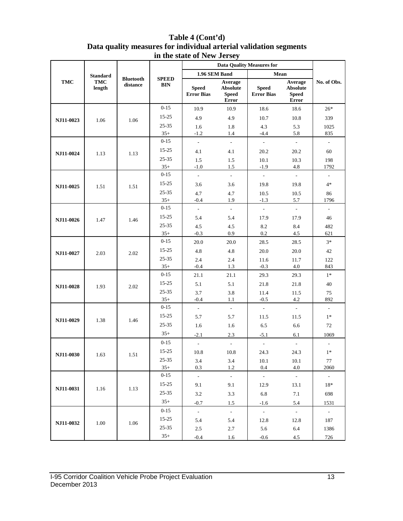| Table 4 (Cont'd)                                                  |
|-------------------------------------------------------------------|
| Data quality measures for individual arterial validation segments |
| in the state of New Jersey                                        |

|            | <b>Standard</b>      |                              |                            | 1.96 SEM Band                     |                                                     | Mean                              |                                                     |                          |
|------------|----------------------|------------------------------|----------------------------|-----------------------------------|-----------------------------------------------------|-----------------------------------|-----------------------------------------------------|--------------------------|
| <b>TMC</b> | <b>TMC</b><br>length | <b>Bluetooth</b><br>distance | <b>SPEED</b><br><b>BIN</b> | <b>Speed</b><br><b>Error Bias</b> | Average<br><b>Absolute</b><br><b>Speed</b><br>Error | <b>Speed</b><br><b>Error Bias</b> | Average<br><b>Absolute</b><br><b>Speed</b><br>Error | No. of Obs.              |
|            |                      |                              | $0 - 15$                   | 10.9                              | 10.9                                                | 18.6                              | 18.6                                                | $26*$                    |
| NJ11-0023  | 1.06                 | 1.06                         | $15 - 25$                  | 4.9                               | 4.9                                                 | 10.7                              | 10.8                                                | 339                      |
|            |                      |                              | 25-35                      | 1.6                               | 1.8                                                 | 4.3                               | 5.3                                                 | 1025                     |
|            |                      |                              | $35+$                      | $-1.2$                            | 1.4                                                 | $-4.4$                            | 5.8                                                 | 835                      |
|            |                      |                              | $0 - 15$                   | $\mathbb{Z}^2$                    | $\omega$                                            | $\mathbb{Z}^2$                    | $\mathbb{L}$                                        | $\mathbb{L}^+$           |
| NJ11-0024  | 1.13                 | 1.13                         | 15-25                      | 4.1                               | 4.1                                                 | 20.2                              | 20.2                                                | 60                       |
|            |                      |                              | 25-35                      | 1.5                               | 1.5                                                 | 10.1                              | 10.3                                                | 198                      |
|            |                      |                              | $35+$                      | $-1.0$                            | 1.5                                                 | $-1.9$                            | 4.8                                                 | 1792                     |
|            |                      |                              | $0 - 15$                   | $\overline{\phantom{a}}$          | $\sim$                                              | $\overline{\phantom{a}}$          | $\overline{\phantom{a}}$                            | $\overline{\phantom{a}}$ |
| NJ11-0025  | 1.51                 | 1.51                         | $15 - 25$                  | 3.6                               | 3.6                                                 | 19.8                              | 19.8                                                | $4*$                     |
|            |                      |                              | 25-35                      | 4.7                               | 4.7                                                 | 10.5                              | 10.5                                                | 86                       |
|            |                      |                              | $35+$                      | $-0.4$                            | 1.9                                                 | $-1.3$                            | 5.7                                                 | 1796                     |
|            |                      |                              | $0 - 15$                   | $\overline{\phantom{a}}$          | $\mathcal{L}_{\mathcal{A}}$                         | $\mathcal{L}_{\mathcal{A}}$       | $\overline{\phantom{a}}$                            | $\bar{\phantom{a}}$      |
| NJ11-0026  | 1.47                 | 1.46                         | $15 - 25$                  | 5.4                               | 5.4                                                 | 17.9                              | 17.9                                                | 46                       |
|            |                      |                              | 25-35                      | 4.5                               | 4.5                                                 | 8.2                               | 8.4                                                 | 482                      |
|            |                      |                              | $35+$                      | $-0.3$                            | 0.9                                                 | 0.2                               | 4.5                                                 | 621                      |
| NJ11-0027  |                      |                              | $0 - 15$                   | 20.0                              | 20.0                                                | 28.5                              | 28.5                                                | $3*$                     |
|            | 2.03                 | 2.02                         | $15 - 25$                  | 4.8                               | 4.8                                                 | 20.0                              | 20.0                                                | 42                       |
|            |                      |                              | 25-35                      | 2.4                               | 2.4                                                 | 11.6                              | 11.7                                                | 122                      |
|            |                      |                              | $35+$                      | $-0.4$                            | $1.3\,$                                             | $-0.3$                            | $4.0$                                               | 843                      |
|            | 1.93                 | 2.02                         | $0 - 15$                   | 21.1                              | 21.1                                                | 29.3                              | 29.3                                                | $1*$                     |
| NJ11-0028  |                      |                              | $15 - 25$                  | 5.1                               | 5.1                                                 | 21.8                              | 21.8                                                | $40\,$                   |
|            |                      |                              | 25-35                      | 3.7                               | 3.8                                                 | 11.4                              | 11.5                                                | $75\,$                   |
|            |                      |                              | $35+$<br>$0 - 15$          | $-0.4$                            | 1.1                                                 | $-0.5$<br>$\frac{1}{2}$           | 4.2                                                 | 892                      |
|            |                      |                              | $15 - 25$                  | $\bar{\phantom{a}}$               | $\omega$                                            |                                   | $\overline{\phantom{a}}$                            | $\overline{\phantom{a}}$ |
| NJ11-0029  | 1.38                 | 1.46                         |                            | 5.7                               | 5.7                                                 | 11.5                              | 11.5                                                | $1*$                     |
|            |                      |                              | 25-35                      | 1.6                               | 1.6                                                 | 6.5                               | 6.6                                                 | 72                       |
|            |                      |                              | $35+$                      | $-2.1$                            | 2.3                                                 | $-5.1$                            | 6.1                                                 | 1069                     |
|            |                      |                              | $0 - 15$                   | $\overline{\phantom{a}}$          | $\omega$                                            | $\bar{\phantom{a}}$               | $\mathbb{L}$                                        | $\overline{\phantom{a}}$ |
| NJ11-0030  | 1.63                 | 1.51                         | $15 - 25$                  | 10.8                              | 10.8                                                | 24.3                              | 24.3                                                | $1\ast$                  |
|            |                      |                              | $25 - 35$                  | 3.4                               | 3.4                                                 | 10.1                              | 10.1                                                | 77                       |
|            |                      |                              | $35+$                      | 0.3                               | 1.2                                                 | 0.4                               | 4.0                                                 | 2060                     |
|            |                      |                              | $0 - 15$                   | $\mathbb{Z}^{\mathbb{Z}}$         | $\omega$                                            | $\omega$                          | $\mathbb{Z}^{\mathbb{Z}}$                           | $\sim$                   |
| NJ11-0031  | 1.16                 | 1.13                         | $15 - 25$                  | 9.1                               | 9.1                                                 | 12.9                              | 13.1                                                | $18*$                    |
|            |                      |                              | $25 - 35$                  | 3.2                               | 3.3                                                 | 6.8                               | $7.1\,$                                             | 698                      |
|            |                      |                              | $35+$                      | $-0.7$                            | 1.5                                                 | $-1.6$                            | 5.4                                                 | 1531                     |
|            |                      |                              | $0 - 15$                   | $\mathcal{L}^{\pm}$               | $\mathbb{Z}^2$                                      | $\sim$                            | $\sim$                                              | $\sim$                   |
| NJ11-0032  | 1.00                 | 1.06                         | $15 - 25$                  | 5.4                               | 5.4                                                 | 12.8                              | 12.8                                                | 187                      |
|            |                      |                              | $25 - 35$                  | $2.5\,$                           | $2.7\,$                                             | 5.6                               | 6.4                                                 | 1386                     |
|            |                      |                              | $35+$                      | $-0.4$                            | 1.6                                                 | $-0.6$                            | 4.5                                                 | 726                      |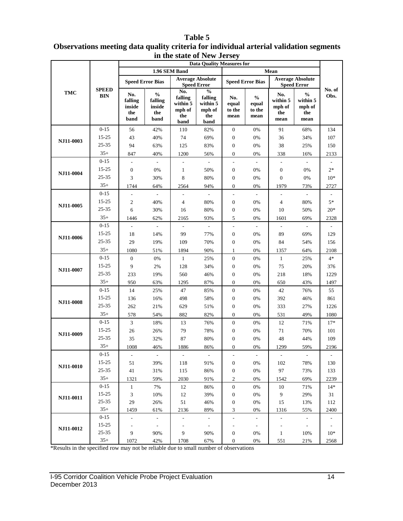### **Table 5 Observations meeting data quality criteria for individual arterial validation segments in the state of New Jersey**

|            |                    |                                         |                                                   |                                                     | <b>Data Quality Measures for</b>                              |                                    |                                          |                                          |                                                                         |                          |
|------------|--------------------|-----------------------------------------|---------------------------------------------------|-----------------------------------------------------|---------------------------------------------------------------|------------------------------------|------------------------------------------|------------------------------------------|-------------------------------------------------------------------------|--------------------------|
|            |                    |                                         |                                                   | 1.96 SEM Band                                       |                                                               |                                    |                                          | Mean                                     |                                                                         |                          |
|            | <b>SPEED</b>       |                                         | <b>Speed Error Bias</b>                           |                                                     | <b>Average Absolute</b><br><b>Speed Error</b>                 |                                    | <b>Speed Error Bias</b>                  |                                          | <b>Average Absolute</b><br><b>Speed Error</b>                           |                          |
| <b>TMC</b> | <b>BIN</b>         | No.<br>falling<br>inside<br>the<br>band | $\frac{0}{0}$<br>falling<br>inside<br>the<br>band | No.<br>falling<br>within 5<br>mph of<br>the<br>band | $\frac{0}{0}$<br>falling<br>within 5<br>mph of<br>the<br>band | No.<br>equal<br>to the<br>mean     | $\frac{0}{0}$<br>equal<br>to the<br>mean | No.<br>within 5<br>mph of<br>the<br>mean | $\mathbf{0}_{\mathbf{0}}^{\prime}$<br>within 5<br>mph of<br>the<br>mean | No. of<br>Obs.           |
|            | $0 - 15$           | 56                                      | 42%                                               | 110                                                 | 82%                                                           | $\boldsymbol{0}$                   | 0%                                       | 91                                       | 68%                                                                     | 134                      |
|            | 15-25              | 43                                      | 40%                                               | 74                                                  | 69%                                                           | $\boldsymbol{0}$                   | 0%                                       | 36                                       | 34%                                                                     | 107                      |
| NJ11-0003  | $25 - 35$          | 94                                      | 63%                                               | 125                                                 | 83%                                                           | $\boldsymbol{0}$                   | 0%                                       | 38                                       | 25%                                                                     | 150                      |
|            | $35+$              | 847                                     | 40%                                               | 1200                                                | 56%                                                           | $\boldsymbol{0}$                   | 0%                                       | 338                                      | 16%                                                                     | 2133                     |
|            | $0 - 15$           | ÷,                                      | $\overline{\phantom{a}}$                          |                                                     | $\overline{\phantom{a}}$                                      | $\overline{\phantom{0}}$           | $\overline{a}$                           | $\frac{1}{2}$                            |                                                                         |                          |
| NJ11-0004  | 15-25              | $\boldsymbol{0}$                        | 0%                                                | $\mathbf{1}$                                        | 50%                                                           | $\boldsymbol{0}$                   | 0%                                       | $\boldsymbol{0}$                         | 0%                                                                      | $2*$                     |
|            | 25-35              | 3                                       | 30%                                               | 8                                                   | 80%                                                           | $\boldsymbol{0}$                   | 0%                                       | $\boldsymbol{0}$                         | 0%                                                                      | $10*$                    |
|            | $35+$              | 1744                                    | 64%                                               | 2564                                                | 94%                                                           | $\boldsymbol{0}$                   | 0%                                       | 1979                                     | 73%                                                                     | 2727                     |
|            | $0 - 15$           | $\overline{\phantom{a}}$                | ä,                                                | $\overline{\phantom{a}}$                            | $\overline{\phantom{a}}$                                      | $\overline{a}$                     | $\mathcal{L}$                            | $\sim$                                   | $\overline{\phantom{a}}$                                                |                          |
| NJ11-0005  | 15-25              | $\mathfrak{2}$                          | 40%                                               | $\overline{4}$                                      | 80%                                                           | $\boldsymbol{0}$                   | 0%                                       | $\overline{4}$                           | 80%                                                                     | $5*$                     |
|            | 25-35              | 6                                       | 30%                                               | 16                                                  | 80%                                                           | $\boldsymbol{0}$                   | 0%                                       | 10                                       | 50%                                                                     | $20*$                    |
|            | $35+$              | 1446                                    | 62%                                               | 2165                                                | 93%                                                           | 5                                  | 0%                                       | 1601                                     | 69%                                                                     | 2328                     |
|            | $0 - 15$           | $\overline{\phantom{a}}$                | $\overline{\phantom{a}}$                          | $\overline{\phantom{a}}$                            | $\overline{\phantom{a}}$                                      | $\frac{1}{2}$                      | $\overline{\phantom{a}}$                 | $\overline{\phantom{a}}$                 | $\overline{\phantom{a}}$                                                |                          |
| NJ11-0006  | $15 - 25$          | 18                                      | 14%                                               | 99                                                  | 77%                                                           | $\boldsymbol{0}$                   | $0\%$                                    | 89                                       | 69%                                                                     | 129                      |
|            | $25 - 35$          | 29                                      | 19%                                               | 109                                                 | 70%                                                           | $\boldsymbol{0}$                   | $0\%$                                    | 84                                       | 54%                                                                     | 156                      |
|            | $35+$              | 1080                                    | 51%                                               | 1894                                                | 90%                                                           | 1                                  | 0%                                       | 1357                                     | 64%                                                                     | 2108                     |
|            | $0 - 15$           | $\mathbf{0}$                            | 0%                                                | 1                                                   | 25%                                                           | $\boldsymbol{0}$                   | 0%                                       | $\mathbf{1}$                             | 25%                                                                     | $4*$                     |
| NJ11-0007  | 15-25              | 9                                       | 2%                                                | 128                                                 | 34%                                                           | $\boldsymbol{0}$                   | 0%                                       | 75                                       | 20%                                                                     | 376                      |
|            | 25-35              | 233                                     | 19%                                               | 560                                                 | 46%                                                           | $\boldsymbol{0}$                   | 0%                                       | 218                                      | 18%                                                                     | 1229                     |
|            | $35+$              | 950                                     | 63%                                               | 1295                                                | 87%                                                           | $\overline{0}$                     | 0%                                       | 650                                      | 43%                                                                     | 1497                     |
|            | $0 - 15$           | 14                                      | 25%                                               | 47                                                  | 85%                                                           | $\boldsymbol{0}$                   | 0%                                       | 42                                       | 76%                                                                     | 55                       |
| NJ11-0008  | 15-25              | 136                                     | 16%                                               | 498                                                 | 58%                                                           | $\boldsymbol{0}$                   | 0%                                       | 392                                      | 46%                                                                     | 861                      |
|            | $25 - 35$<br>$35+$ | 262                                     | 21%                                               | 629                                                 | 51%                                                           | $\boldsymbol{0}$                   | 0%                                       | 333                                      | 27%                                                                     | 1226                     |
|            | $0 - 15$           | 578                                     | 54%                                               | 882                                                 | 82%                                                           | $\boldsymbol{0}$                   | 0%                                       | 531                                      | 49%                                                                     | 1080                     |
|            | 15-25              | 3                                       | 18%                                               | 13                                                  | 76%                                                           | $\boldsymbol{0}$                   | 0%                                       | 12                                       | 71%                                                                     | $17*$<br>101             |
| NJ11-0009  | 25-35              | 26<br>35                                | 26%<br>32%                                        | 79<br>87                                            | 78%<br>80%                                                    | $\boldsymbol{0}$<br>$\overline{0}$ | 0%<br>0%                                 | $71\,$<br>48                             | 70%<br>44%                                                              | 109                      |
|            | $35+$              | 1008                                    | 46%                                               | 1886                                                | 86%                                                           | $\overline{0}$                     | 0%                                       | 1299                                     | 59%                                                                     | 2196                     |
|            | $0 - 15$           |                                         |                                                   |                                                     |                                                               |                                    |                                          |                                          |                                                                         |                          |
|            | $15 - 25$          | 51                                      | 39%                                               | 118                                                 | 91%                                                           | 0                                  | 0%                                       | 102                                      | 78%                                                                     | 130                      |
| NJ11-0010  | 25-35              | 41                                      | 31%                                               | 115                                                 | 86%                                                           | 0                                  | 0%                                       | 97                                       | 73%                                                                     | 133                      |
|            | $35+$              | 1321                                    | 59%                                               | 2030                                                | 91%                                                           | 2                                  | 0%                                       | 1542                                     | 69%                                                                     | 2239                     |
|            | $0 - 15$           | $\mathbf{1}$                            | 7%                                                | 12                                                  | 86%                                                           | $\boldsymbol{0}$                   | 0%                                       | 10                                       | 71%                                                                     | $14*$                    |
|            | $15 - 25$          | 3                                       | 10%                                               | 12                                                  | 39%                                                           | 0                                  | 0%                                       | 9                                        | 29%                                                                     | 31                       |
| NJ11-0011  | 25-35              | 29                                      | 26%                                               | 51                                                  | 46%                                                           | 0                                  | 0%                                       | 15                                       | 13%                                                                     | 112                      |
|            | $35+$              | 1459                                    | 61%                                               | 2136                                                | 89%                                                           | 3                                  | 0%                                       | 1316                                     | 55%                                                                     | 2400                     |
|            | $0-15$             | $\overline{\phantom{a}}$                | $\overline{\phantom{a}}$                          |                                                     | $\overline{\phantom{a}}$                                      | $\overline{a}$                     | $\overline{\phantom{a}}$                 | $\overline{\phantom{a}}$                 |                                                                         |                          |
| NJ11-0012  | 15-25              |                                         | $\overline{\phantom{a}}$                          | $\overline{\phantom{a}}$                            | $\overline{\phantom{a}}$                                      |                                    | $\overline{\phantom{a}}$                 | $\overline{\phantom{a}}$                 | $\overline{\phantom{a}}$                                                | $\overline{\phantom{a}}$ |
|            | $25 - 35$          | 9                                       | 90%                                               | 9                                                   | 90%                                                           | 0                                  | 0%                                       | $\mathbf{1}$                             | 10%                                                                     | $10*$                    |
|            | $35+$              | 1072                                    | 42%                                               | 1708                                                | 67%                                                           | 0                                  | 0%                                       | 551                                      | 21%                                                                     | 2568                     |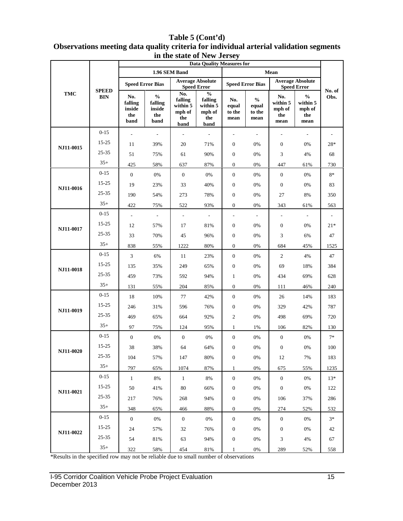|           | <b>SPEED</b><br>BIN | <b>Data Quality Measures for</b>        |                                                                        |                                                     |                                                               |                                |                                                               |                                               |                                                    |                |
|-----------|---------------------|-----------------------------------------|------------------------------------------------------------------------|-----------------------------------------------------|---------------------------------------------------------------|--------------------------------|---------------------------------------------------------------|-----------------------------------------------|----------------------------------------------------|----------------|
| TMC       |                     | 1.96 SEM Band                           |                                                                        |                                                     |                                                               | Mean                           |                                                               |                                               |                                                    |                |
|           |                     | <b>Speed Error Bias</b>                 |                                                                        | <b>Average Absolute</b><br><b>Speed Error</b>       |                                                               | <b>Speed Error Bias</b>        |                                                               | <b>Average Absolute</b><br><b>Speed Error</b> |                                                    |                |
|           |                     | No.<br>falling<br>inside<br>the<br>band | $\mathbf{0}_{\mathbf{0}}^{\prime}$<br>falling<br>inside<br>the<br>band | No.<br>falling<br>within 5<br>mph of<br>the<br>band | $\frac{0}{0}$<br>falling<br>within 5<br>mph of<br>the<br>band | No.<br>equal<br>to the<br>mean | $\mathbf{0}_{\mathbf{0}}^{\prime}$<br>equal<br>to the<br>mean | No.<br>within 5<br>mph of<br>the<br>mean      | $\frac{0}{0}$<br>within 5<br>mph of<br>the<br>mean | No. of<br>Obs. |
| NJ11-0015 | $0 - 15$            | ÷,                                      | $\overline{\phantom{a}}$                                               | $\frac{1}{2}$                                       |                                                               |                                |                                                               | L,                                            | $\overline{\phantom{a}}$                           |                |
|           | $15 - 25$           | 11                                      | 39%                                                                    | 20                                                  | 71%                                                           | $\boldsymbol{0}$               | 0%                                                            | $\boldsymbol{0}$                              | 0%                                                 | 28*            |
|           | 25-35               | 51                                      | 75%                                                                    | 61                                                  | 90%                                                           | $\boldsymbol{0}$               | 0%                                                            | 3                                             | 4%                                                 | 68             |
|           | $35+$               | 425                                     | 58%                                                                    | 637                                                 | 87%                                                           | $\mathbf{0}$                   | 0%                                                            | 447                                           | 61%                                                | 730            |
| NJ11-0016 | $0 - 15$            | $\mathbf{0}$                            | $0\%$                                                                  | $\mathbf{0}$                                        | 0%                                                            | $\mathbf{0}$                   | 0%                                                            | $\mathbf{0}$                                  | 0%                                                 | $8*$           |
|           | $15 - 25$           | 19                                      | 23%                                                                    | 33                                                  | 40%                                                           | $\mathbf{0}$                   | 0%                                                            | $\mathbf{0}$                                  | 0%                                                 | 83             |
|           | 25-35               | 190                                     | 54%                                                                    | 273                                                 | 78%                                                           | $\boldsymbol{0}$               | 0%                                                            | 27                                            | 8%                                                 | 350            |
|           | $35+$               | 422                                     | 75%                                                                    | 522                                                 | 93%                                                           | $\boldsymbol{0}$               | 0%                                                            | 343                                           | 61%                                                | 563            |
| NJ11-0017 | $0 - 15$            | $\Box$                                  | $\overline{\phantom{a}}$                                               | $\overline{\phantom{a}}$                            | $\blacksquare$                                                | $\blacksquare$                 | $\overline{\phantom{a}}$                                      | $\blacksquare$                                | $\overline{\phantom{a}}$                           |                |
|           | $15 - 25$           | 12                                      | 57%                                                                    | 17                                                  | 81%                                                           | $\boldsymbol{0}$               | 0%                                                            | $\boldsymbol{0}$                              | $0\%$                                              | $21*$          |
|           | $25 - 35$           | 33                                      | 70%                                                                    | 45                                                  | 96%                                                           | $\boldsymbol{0}$               | 0%                                                            | 3                                             | 6%                                                 | 47             |
|           | $35+$               | 838                                     | 55%                                                                    | 1222                                                | 80%                                                           | $\mathbf{0}$                   | $0\%$                                                         | 684                                           | 45%                                                | 1525           |
| NJ11-0018 | $0 - 15$            | $\mathfrak{Z}$                          | 6%                                                                     | 11                                                  | 23%                                                           | $\mathbf{0}$                   | $0\%$                                                         | 2                                             | 4%                                                 | 47             |
|           | $15 - 25$           | 135                                     | 35%                                                                    | 249                                                 | 65%                                                           | $\boldsymbol{0}$               | 0%                                                            | 69                                            | 18%                                                | 384            |
|           | 25-35               | 459                                     | 73%                                                                    | 592                                                 | 94%                                                           | $\mathbf{1}$                   | $0\%$                                                         | 434                                           | 69%                                                | 628            |
|           | $35+$               | 131                                     | 55%                                                                    | 204                                                 | 85%                                                           | $\mathbf{0}$                   | 0%                                                            | 111                                           | 46%                                                | 240            |
| NJ11-0019 | $0 - 15$            | 18                                      | 10%                                                                    | 77                                                  | 42%                                                           | $\mathbf{0}$                   | $0\%$                                                         | 26                                            | 14%                                                | 183            |
|           | 15-25               | 246                                     | 31%                                                                    | 596                                                 | 76%                                                           | $\boldsymbol{0}$               | 0%                                                            | 329                                           | 42%                                                | 787            |
|           | $25 - 35$           | 469                                     | 65%                                                                    | 664                                                 | 92%                                                           | $\overline{2}$                 | 0%                                                            | 498                                           | 69%                                                | 720            |
|           | $35+$               | 97                                      | 75%                                                                    | 124                                                 | 95%                                                           | 1                              | 1%                                                            | 106                                           | 82%                                                | 130            |
| NJ11-0020 | $0 - 15$            | $\mathbf{0}$                            | $0\%$                                                                  | $\boldsymbol{0}$                                    | 0%                                                            | $\boldsymbol{0}$               | $0\%$                                                         | $\mathbf{0}$                                  | $0\%$                                              | $7*$           |
|           | $15 - 25$           | 38                                      | 38%                                                                    | 64                                                  | 64%                                                           | $\boldsymbol{0}$               | 0%                                                            | $\boldsymbol{0}$                              | 0%                                                 | 100            |
|           | 25-35               | 104                                     | 57%                                                                    | 147                                                 | 80%                                                           | $\boldsymbol{0}$               | 0%                                                            | 12                                            | 7%                                                 | 183            |
|           | $35+$               | 797                                     | 65%                                                                    | 1074                                                | 87%                                                           | $\mathbf{1}$                   | 0%                                                            | 675                                           | 55%                                                | 1235           |
| NJ11-0021 | $0 - 15$            | 1                                       | 8%                                                                     | $\mathbf{1}$                                        | 8%                                                            | $\boldsymbol{0}$               | 0%                                                            | $\mathbf{0}$                                  | 0%                                                 | $13*$          |
|           | $15 - 25$           | 50                                      | 41%                                                                    | 80                                                  | 66%                                                           | $\boldsymbol{0}$               | 0%                                                            | $\boldsymbol{0}$                              | 0%                                                 | 122            |
|           | 25-35               | 217                                     | 76%                                                                    | 268                                                 | 94%                                                           | $\boldsymbol{0}$               | 0%                                                            | 106                                           | 37%                                                | 286            |
|           | $35+$               | 348                                     | 65%                                                                    | 466                                                 | 88%                                                           | $\boldsymbol{0}$               | $0\%$                                                         | 274                                           | 52%                                                | 532            |
| NJ11-0022 | $0 - 15$            | $\mathbf{0}$                            | 0%                                                                     | $\boldsymbol{0}$                                    | 0%                                                            | $\boldsymbol{0}$               | 0%                                                            | $\mathbf{0}$                                  | 0%                                                 | $3*$           |
|           | $15 - 25$           | 24                                      | 57%                                                                    | 32                                                  | 76%                                                           | $\boldsymbol{0}$               | 0%                                                            | $\boldsymbol{0}$                              | 0%                                                 | 42             |
|           | $25 - 35$           | 54                                      | 81%                                                                    | 63                                                  | 94%                                                           | $\boldsymbol{0}$               | 0%                                                            | 3                                             | 4%                                                 | 67             |
|           | $35+$               | 322                                     | 58%                                                                    | 454                                                 | 81%                                                           | 1                              | 0%                                                            | 289                                           | 52%                                                | 558            |

### **Table 5 (Cont'd) Observations meeting data quality criteria for individual arterial validation segments in the state of New Jersey**